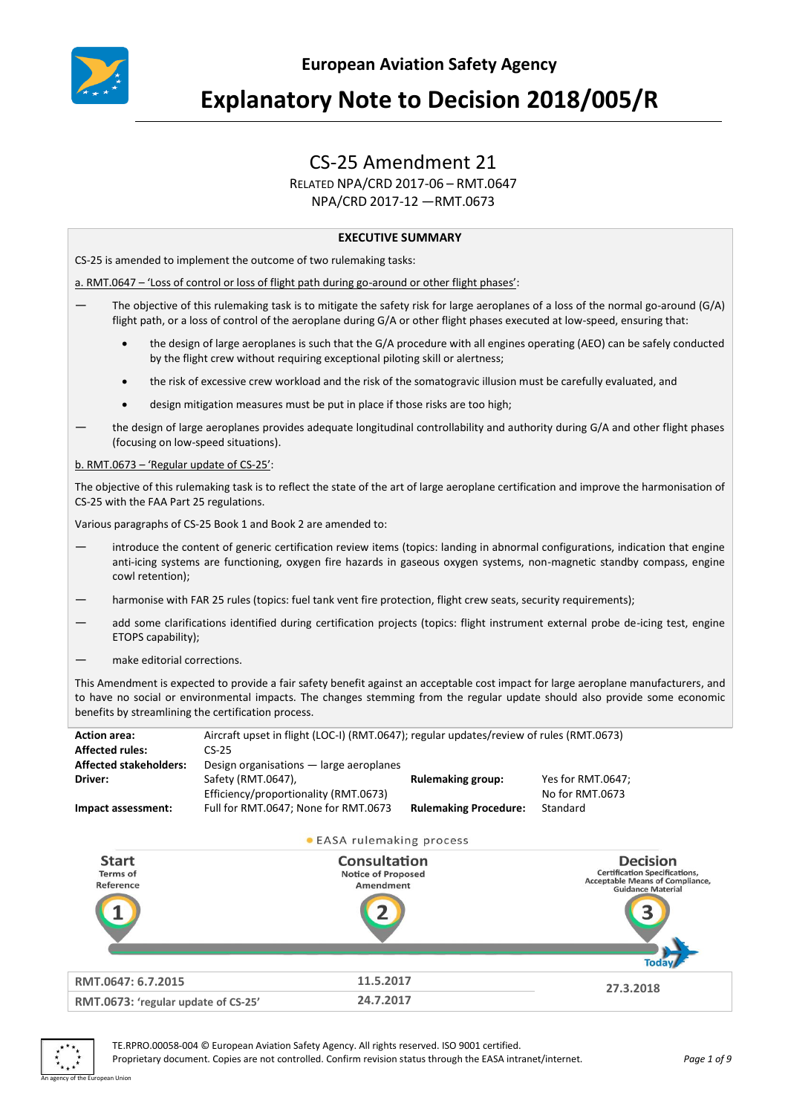

# **Explanatory Note to Decision 2018/005/R**

# CS-25 Amendment 21

RELATED NPA/CRD 2017-06 – RMT.0647

NPA/CRD 2017-12 —RMT.0673

#### **EXECUTIVE SUMMARY**

CS-25 is amended to implement the outcome of two rulemaking tasks:

a. RMT.0647 – 'Loss of control or loss of flight path during go-around or other flight phases':

- The objective of this rulemaking task is to mitigate the safety risk for large aeroplanes of a loss of the normal go-around (G/A) flight path, or a loss of control of the aeroplane during G/A or other flight phases executed at low-speed, ensuring that:
	- the design of large aeroplanes is such that the G/A procedure with all engines operating (AEO) can be safely conducted by the flight crew without requiring exceptional piloting skill or alertness;
	- the risk of excessive crew workload and the risk of the somatogravic illusion must be carefully evaluated, and
	- design mitigation measures must be put in place if those risks are too high;
- the design of large aeroplanes provides adequate longitudinal controllability and authority during G/A and other flight phases (focusing on low-speed situations).

b. RMT.0673 – 'Regular update of CS-25':

The objective of this rulemaking task is to reflect the state of the art of large aeroplane certification and improve the harmonisation of CS-25 with the FAA Part 25 regulations.

Various paragraphs of CS-25 Book 1 and Book 2 are amended to:

- introduce the content of generic certification review items (topics: landing in abnormal configurations, indication that engine anti-icing systems are functioning, oxygen fire hazards in gaseous oxygen systems, non-magnetic standby compass, engine cowl retention);
- harmonise with FAR 25 rules (topics: fuel tank vent fire protection, flight crew seats, security requirements);
- add some clarifications identified during certification projects (topics: flight instrument external probe de-icing test, engine ETOPS capability);
- make editorial corrections.

This Amendment is expected to provide a fair safety benefit against an acceptable cost impact for large aeroplane manufacturers, and to have no social or environmental impacts. The changes stemming from the regular update should also provide some economic benefits by streamlining the certification process.

| <b>Action area:</b>           | Aircraft upset in flight (LOC-I) (RMT.0647); regular updates/review of rules (RMT.0673) |                              |                   |
|-------------------------------|-----------------------------------------------------------------------------------------|------------------------------|-------------------|
| <b>Affected rules:</b>        | $CS-25$                                                                                 |                              |                   |
| <b>Affected stakeholders:</b> | Design organisations - large aeroplanes                                                 |                              |                   |
| Driver:                       | Safety (RMT.0647),                                                                      | <b>Rulemaking group:</b>     | Yes for RMT.0647: |
|                               | Efficiency/proportionality (RMT.0673)                                                   |                              | No for RMT.0673   |
| Impact assessment:            | Full for RMT.0647; None for RMT.0673                                                    | <b>Rulemaking Procedure:</b> | Standard          |

• EASA rulemaking process





TE.RPRO.00058-004 © European Aviation Safety Agency. All rights reserved. ISO 9001 certified. Proprietary document. Copies are not controlled. Confirm revision status through the EASA intranet/internet. *Page 1 of 9*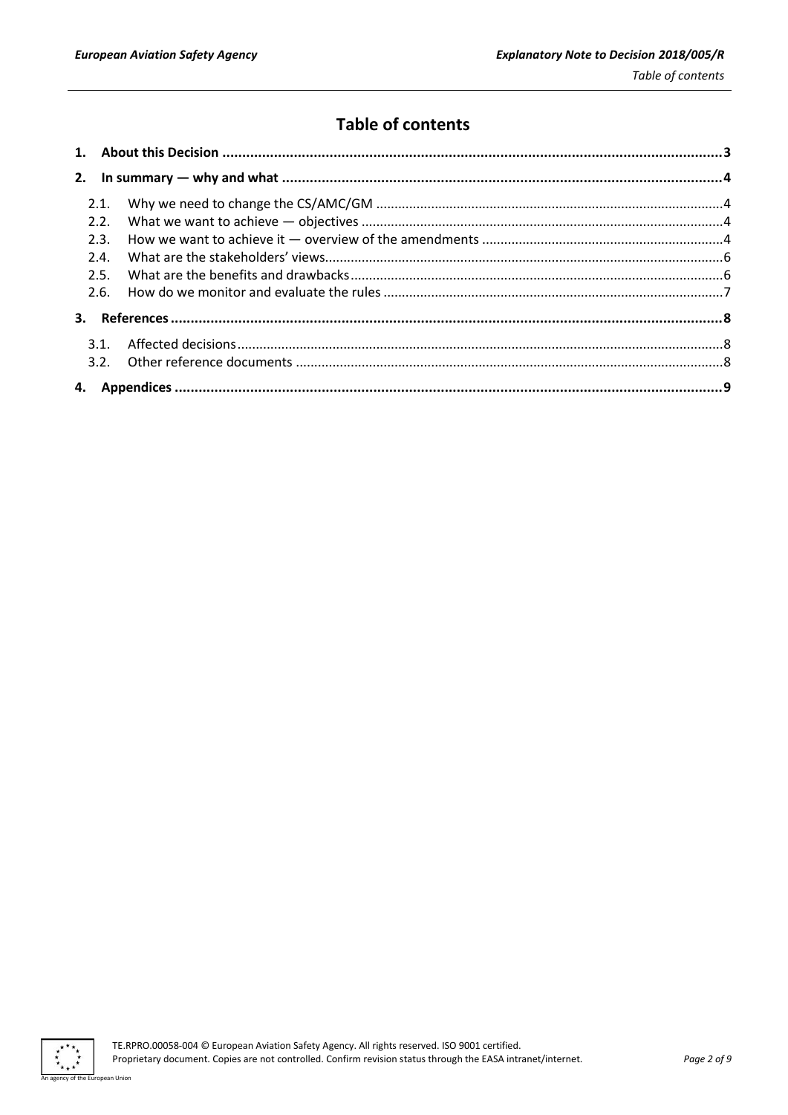# **Table of contents**

| 2.1. |  |
|------|--|
| 2.2. |  |
| 2.3. |  |
| 2.4. |  |
| 2.5. |  |
| 2.6. |  |
|      |  |
|      |  |
|      |  |
|      |  |
|      |  |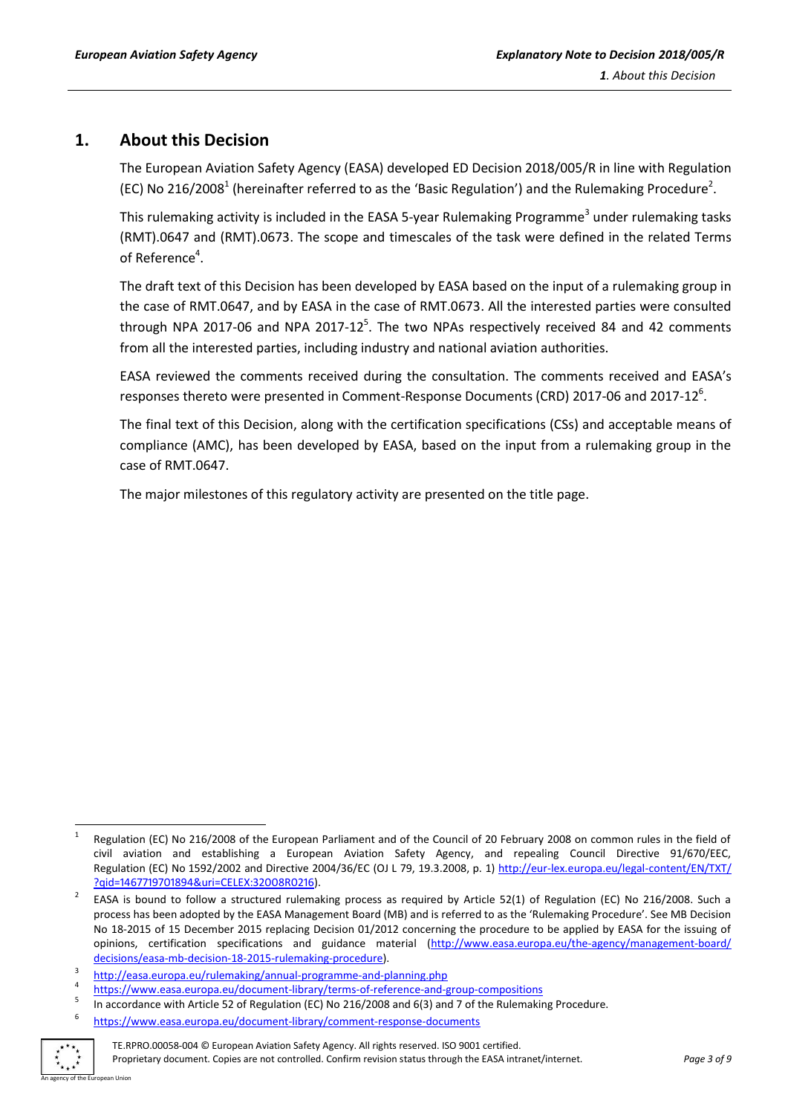# <span id="page-2-0"></span>**1. About this Decision**

The European Aviation Safety Agency (EASA) developed ED Decision 2018/005/R in line with Regulation (EC) No 216/2008<sup>1</sup> (hereinafter referred to as the 'Basic Regulation') and the Rulemaking Procedure<sup>2</sup>.

This rulemaking activity is included in the EASA 5-year Rulemaking Programme<sup>3</sup> under rulemaking tasks (RMT).0647 and (RMT).0673. The scope and timescales of the task were defined in the related Terms of Reference<sup>4</sup>.

The draft text of this Decision has been developed by EASA based on the input of a rulemaking group in the case of RMT.0647, and by EASA in the case of RMT.0673. All the interested parties were consulted through NPA 2017-06 and NPA 2017-12<sup>5</sup>. The two NPAs respectively received 84 and 42 comments from all the interested parties, including industry and national aviation authorities.

EASA reviewed the comments received during the consultation. The comments received and EASA's responses thereto were presented in Comment-Response Documents (CRD) 2017-06 and 2017-12 $<sup>6</sup>$ .</sup>

The final text of this Decision, along with the certification specifications (CSs) and acceptable means of compliance (AMC), has been developed by EASA, based on the input from a rulemaking group in the case of RMT.0647.

The major milestones of this regulatory activity are presented on the title page.

<sup>6</sup> <https://www.easa.europa.eu/document-library/comment-response-documents>



 $\frac{1}{1}$  Regulation (EC) No 216/2008 of the European Parliament and of the Council of 20 February 2008 on common rules in the field of civil aviation and establishing a European Aviation Safety Agency, and repealing Council Directive 91/670/EEC, Regulation (EC) No 1592/2002 and Directive 2004/36/EC (OJ L 79, 19.3.2008, p. 1) http://eur-[lex.europa.eu/legal](http://eur-lex.europa.eu/legal-content/EN/TXT/%20?qid=1467719701894&uri=CELEX:32008R0216)-content/EN/TXT/ [?qid=1467719701894&uri=CELEX:32008R0216\)](http://eur-lex.europa.eu/legal-content/EN/TXT/%20?qid=1467719701894&uri=CELEX:32008R0216).

<sup>2</sup> EASA is bound to follow a structured rulemaking process as required by Article 52(1) of Regulation (EC) No 216/2008. Such a process has been adopted by the EASA Management Board (MB) and is referred to as the 'Rulemaking Procedure'. See MB Decision No 18-2015 of 15 December 2015 replacing Decision 01/2012 concerning the procedure to be applied by EASA for the issuing of opinions, certification specifications and guidance material [\(http://www.easa.europa.eu/the-agency/management-board/](http://www.easa.europa.eu/the-agency/management-board/%20decisions/easa-mb-decision-18-2015-rulemaking-procedure)  [decisions/easa-mb-decision-18-2015-rulemaking-procedure\)](http://www.easa.europa.eu/the-agency/management-board/%20decisions/easa-mb-decision-18-2015-rulemaking-procedure).

<sup>3</sup> <http://easa.europa.eu/rulemaking/annual-programme-and-planning.php>

<sup>4</sup> <https://www.easa.europa.eu/document-library/terms-of-reference-and-group-compositions>

<sup>5</sup> In accordance with Article 52 of Regulation (EC) No 216/2008 and 6(3) and 7 of the Rulemaking Procedure.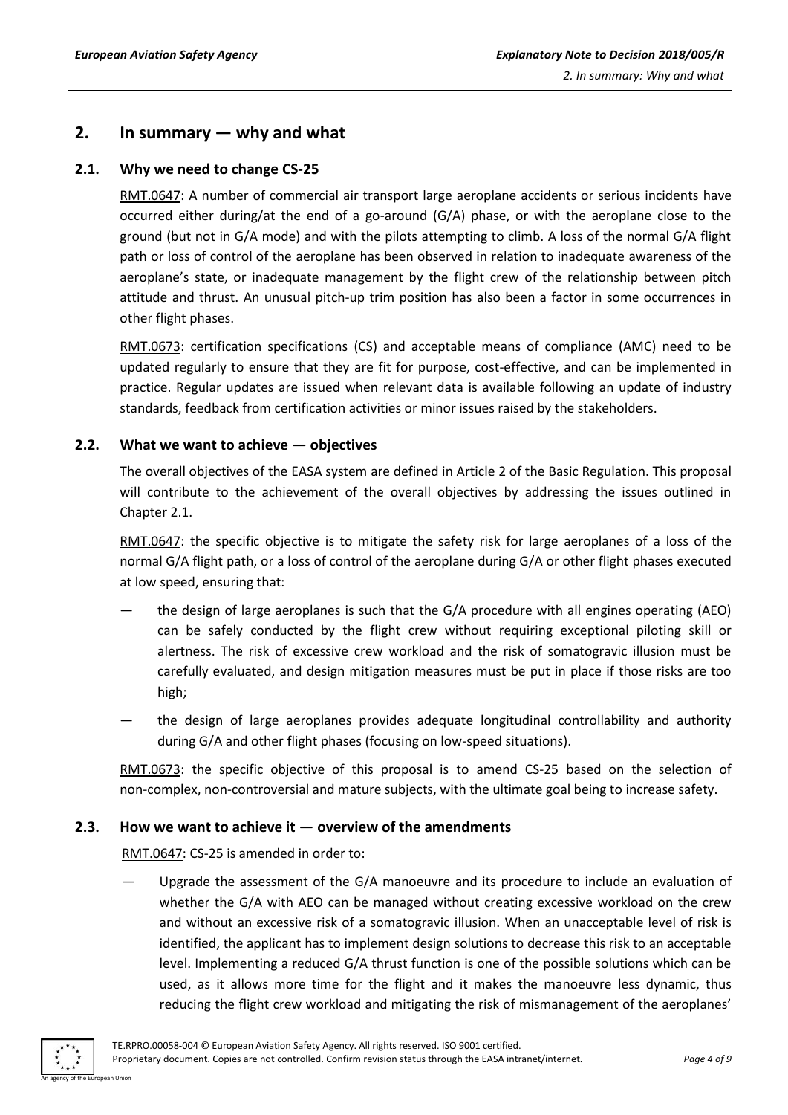### <span id="page-3-0"></span>**2. In summary — why and what**

#### <span id="page-3-1"></span>**2.1. Why we need to change CS-25**

RMT.0647: A number of commercial air transport large aeroplane accidents or serious incidents have occurred either during/at the end of a go-around (G/A) phase, or with the aeroplane close to the ground (but not in G/A mode) and with the pilots attempting to climb. A loss of the normal G/A flight path or loss of control of the aeroplane has been observed in relation to inadequate awareness of the aeroplane's state, or inadequate management by the flight crew of the relationship between pitch attitude and thrust. An unusual pitch-up trim position has also been a factor in some occurrences in other flight phases.

RMT.0673: certification specifications (CS) and acceptable means of compliance (AMC) need to be updated regularly to ensure that they are fit for purpose, cost-effective, and can be implemented in practice. Regular updates are issued when relevant data is available following an update of industry standards, feedback from certification activities or minor issues raised by the stakeholders.

#### <span id="page-3-2"></span>**2.2. What we want to achieve — objectives**

The overall objectives of the EASA system are defined in Article 2 of the Basic Regulation. This proposal will contribute to the achievement of the overall objectives by addressing the issues outlined in Chapter 2.1.

RMT.0647: the specific objective is to mitigate the safety risk for large aeroplanes of a loss of the normal G/A flight path, or a loss of control of the aeroplane during G/A or other flight phases executed at low speed, ensuring that:

- the design of large aeroplanes is such that the G/A procedure with all engines operating (AEO) can be safely conducted by the flight crew without requiring exceptional piloting skill or alertness. The risk of excessive crew workload and the risk of somatogravic illusion must be carefully evaluated, and design mitigation measures must be put in place if those risks are too high;
- the design of large aeroplanes provides adequate longitudinal controllability and authority during G/A and other flight phases (focusing on low-speed situations).

RMT.0673: the specific objective of this proposal is to amend CS-25 based on the selection of non-complex, non-controversial and mature subjects, with the ultimate goal being to increase safety.

#### <span id="page-3-3"></span>**2.3. How we want to achieve it — overview of the amendments**

RMT.0647: CS-25 is amended in order to:

Upgrade the assessment of the G/A manoeuvre and its procedure to include an evaluation of whether the G/A with AEO can be managed without creating excessive workload on the crew and without an excessive risk of a somatogravic illusion. When an unacceptable level of risk is identified, the applicant has to implement design solutions to decrease this risk to an acceptable level. Implementing a reduced G/A thrust function is one of the possible solutions which can be used, as it allows more time for the flight and it makes the manoeuvre less dynamic, thus reducing the flight crew workload and mitigating the risk of mismanagement of the aeroplanes'

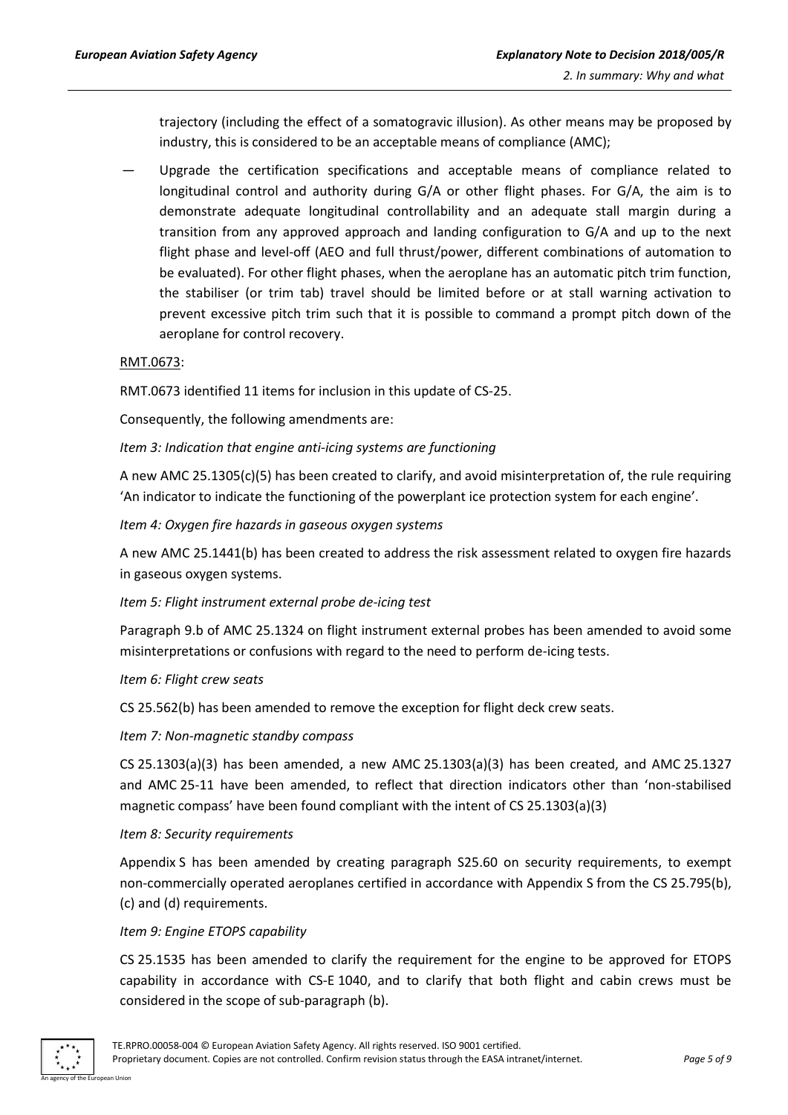trajectory (including the effect of a somatogravic illusion). As other means may be proposed by industry, this is considered to be an acceptable means of compliance (AMC);

— Upgrade the certification specifications and acceptable means of compliance related to longitudinal control and authority during G/A or other flight phases. For G/A, the aim is to demonstrate adequate longitudinal controllability and an adequate stall margin during a transition from any approved approach and landing configuration to G/A and up to the next flight phase and level-off (AEO and full thrust/power, different combinations of automation to be evaluated). For other flight phases, when the aeroplane has an automatic pitch trim function, the stabiliser (or trim tab) travel should be limited before or at stall warning activation to prevent excessive pitch trim such that it is possible to command a prompt pitch down of the aeroplane for control recovery.

#### RMT.0673:

RMT.0673 identified 11 items for inclusion in this update of CS-25.

Consequently, the following amendments are:

*Item 3: Indication that engine anti-icing systems are functioning* 

A new AMC 25.1305(c)(5) has been created to clarify, and avoid misinterpretation of, the rule requiring 'An indicator to indicate the functioning of the powerplant ice protection system for each engine'.

*Item 4: Oxygen fire hazards in gaseous oxygen systems* 

A new AMC 25.1441(b) has been created to address the risk assessment related to oxygen fire hazards in gaseous oxygen systems.

*Item 5: Flight instrument external probe de-icing test* 

Paragraph 9.b of AMC 25.1324 on flight instrument external probes has been amended to avoid some misinterpretations or confusions with regard to the need to perform de-icing tests.

#### *Item 6: Flight crew seats*

CS 25.562(b) has been amended to remove the exception for flight deck crew seats.

#### *Item 7: Non-magnetic standby compass*

CS 25.1303(a)(3) has been amended, a new AMC 25.1303(a)(3) has been created, and AMC 25.1327 and AMC 25-11 have been amended, to reflect that direction indicators other than 'non-stabilised magnetic compass' have been found compliant with the intent of CS 25.1303(a)(3)

#### *Item 8: Security requirements*

Appendix S has been amended by creating paragraph S25.60 on security requirements, to exempt non-commercially operated aeroplanes certified in accordance with Appendix S from the CS 25.795(b), (c) and (d) requirements.

#### *Item 9: Engine ETOPS capability*

CS 25.1535 has been amended to clarify the requirement for the engine to be approved for ETOPS capability in accordance with CS-E 1040, and to clarify that both flight and cabin crews must be considered in the scope of sub-paragraph (b).

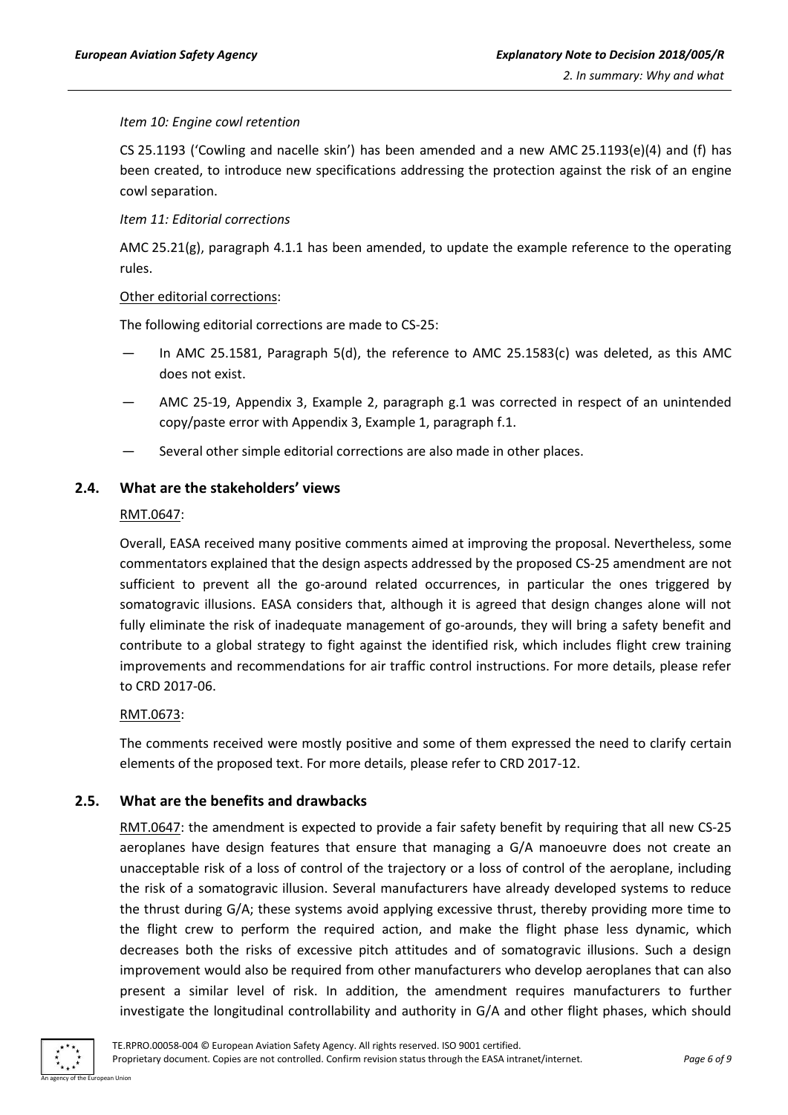#### *Item 10: Engine cowl retention*

CS 25.1193 ('Cowling and nacelle skin') has been amended and a new AMC 25.1193(e)(4) and (f) has been created, to introduce new specifications addressing the protection against the risk of an engine cowl separation.

#### *Item 11: Editorial corrections*

AMC 25.21(g), paragraph 4.1.1 has been amended, to update the example reference to the operating rules.

#### Other editorial corrections:

The following editorial corrections are made to CS-25:

- In AMC 25.1581, Paragraph 5(d), the reference to AMC 25.1583(c) was deleted, as this AMC does not exist.
- AMC 25-19, Appendix 3, Example 2, paragraph g.1 was corrected in respect of an unintended copy/paste error with Appendix 3, Example 1, paragraph f.1.
- Several other simple editorial corrections are also made in other places.

#### <span id="page-5-0"></span>**2.4. What are the stakeholders' views**

#### RMT.0647:

Overall, EASA received many positive comments aimed at improving the proposal. Nevertheless, some commentators explained that the design aspects addressed by the proposed CS-25 amendment are not sufficient to prevent all the go-around related occurrences, in particular the ones triggered by somatogravic illusions. EASA considers that, although it is agreed that design changes alone will not fully eliminate the risk of inadequate management of go-arounds, they will bring a safety benefit and contribute to a global strategy to fight against the identified risk, which includes flight crew training improvements and recommendations for air traffic control instructions. For more details, please refer to CRD 2017-06.

#### RMT.0673:

The comments received were mostly positive and some of them expressed the need to clarify certain elements of the proposed text. For more details, please refer to CRD 2017-12.

#### <span id="page-5-1"></span>**2.5. What are the benefits and drawbacks**

RMT.0647: the amendment is expected to provide a fair safety benefit by requiring that all new CS-25 aeroplanes have design features that ensure that managing a G/A manoeuvre does not create an unacceptable risk of a loss of control of the trajectory or a loss of control of the aeroplane, including the risk of a somatogravic illusion. Several manufacturers have already developed systems to reduce the thrust during G/A; these systems avoid applying excessive thrust, thereby providing more time to the flight crew to perform the required action, and make the flight phase less dynamic, which decreases both the risks of excessive pitch attitudes and of somatogravic illusions. Such a design improvement would also be required from other manufacturers who develop aeroplanes that can also present a similar level of risk. In addition, the amendment requires manufacturers to further investigate the longitudinal controllability and authority in G/A and other flight phases, which should

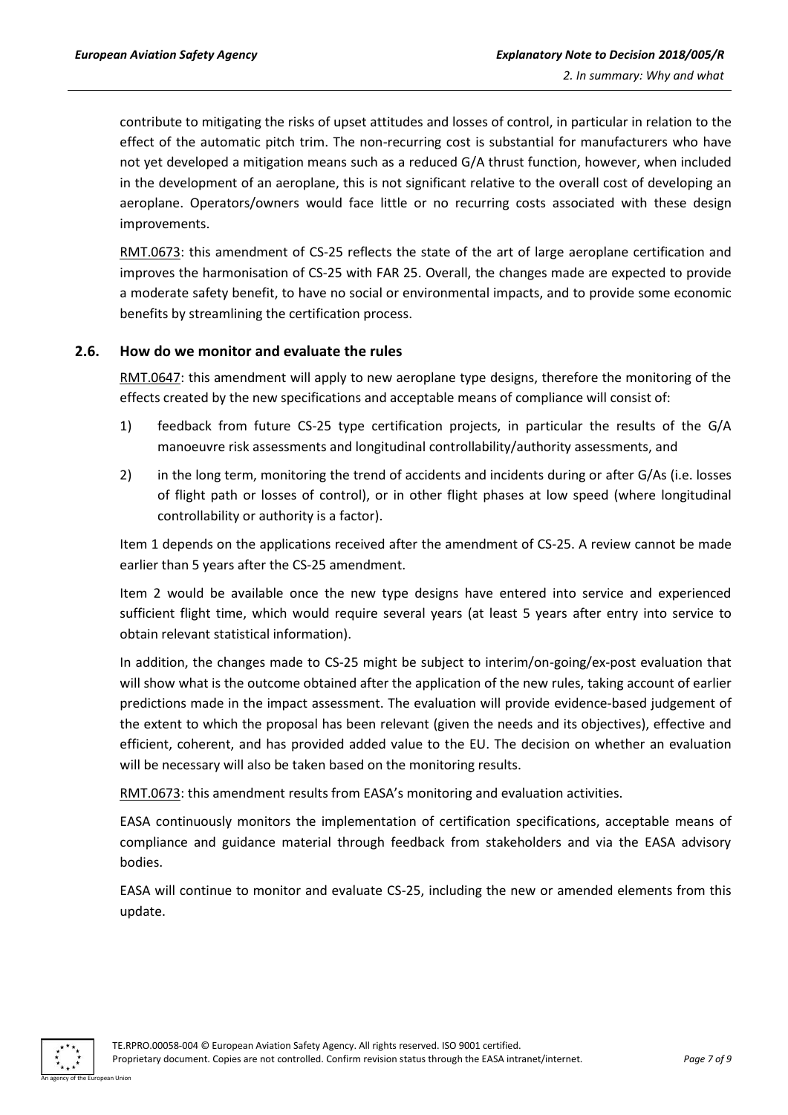contribute to mitigating the risks of upset attitudes and losses of control, in particular in relation to the effect of the automatic pitch trim. The non-recurring cost is substantial for manufacturers who have not yet developed a mitigation means such as a reduced G/A thrust function, however, when included in the development of an aeroplane, this is not significant relative to the overall cost of developing an aeroplane. Operators/owners would face little or no recurring costs associated with these design improvements.

RMT.0673: this amendment of CS-25 reflects the state of the art of large aeroplane certification and improves the harmonisation of CS-25 with FAR 25. Overall, the changes made are expected to provide a moderate safety benefit, to have no social or environmental impacts, and to provide some economic benefits by streamlining the certification process.

#### <span id="page-6-0"></span>**2.6. How do we monitor and evaluate the rules**

RMT.0647: this amendment will apply to new aeroplane type designs, therefore the monitoring of the effects created by the new specifications and acceptable means of compliance will consist of:

- 1) feedback from future CS-25 type certification projects, in particular the results of the G/A manoeuvre risk assessments and longitudinal controllability/authority assessments, and
- 2) in the long term, monitoring the trend of accidents and incidents during or after G/As (i.e. losses of flight path or losses of control), or in other flight phases at low speed (where longitudinal controllability or authority is a factor).

Item 1 depends on the applications received after the amendment of CS-25. A review cannot be made earlier than 5 years after the CS-25 amendment.

Item 2 would be available once the new type designs have entered into service and experienced sufficient flight time, which would require several years (at least 5 years after entry into service to obtain relevant statistical information).

In addition, the changes made to CS-25 might be subject to interim/on-going/ex-post evaluation that will show what is the outcome obtained after the application of the new rules, taking account of earlier predictions made in the impact assessment. The evaluation will provide evidence-based judgement of the extent to which the proposal has been relevant (given the needs and its objectives), effective and efficient, coherent, and has provided added value to the EU. The decision on whether an evaluation will be necessary will also be taken based on the monitoring results.

RMT.0673: this amendment results from EASA's monitoring and evaluation activities.

EASA continuously monitors the implementation of certification specifications, acceptable means of compliance and guidance material through feedback from stakeholders and via the EASA advisory bodies.

EASA will continue to monitor and evaluate CS-25, including the new or amended elements from this update.

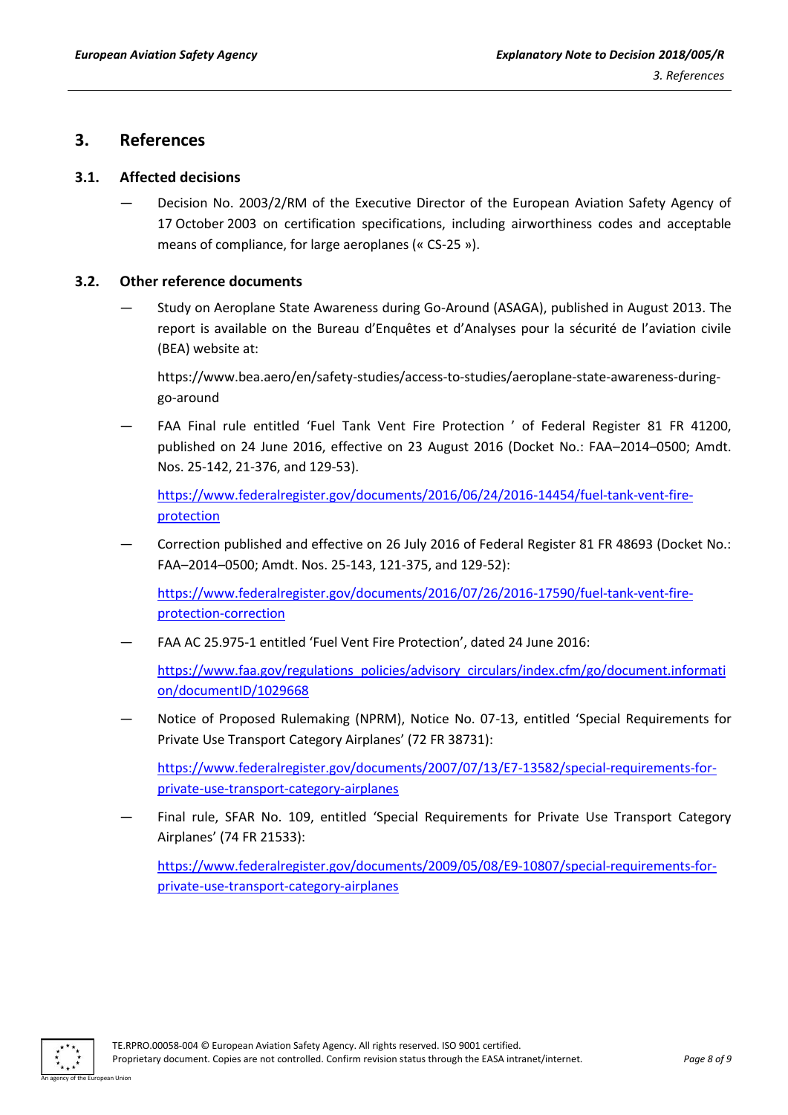### <span id="page-7-0"></span>**3. References**

#### <span id="page-7-1"></span>**3.1. Affected decisions**

— Decision No. 2003/2/RM of the Executive Director of the European Aviation Safety Agency of 17 October 2003 on certification specifications, including airworthiness codes and acceptable means of compliance, for large aeroplanes (« CS-25 »).

#### <span id="page-7-2"></span>**3.2. Other reference documents**

— Study on Aeroplane State Awareness during Go-Around (ASAGA), published in August 2013. The report is available on the Bureau d'Enquêtes et d'Analyses pour la sécurité de l'aviation civile (BEA) website at:

https://www.bea.aero/en/safety-studies/access-to-studies/aeroplane-state-awareness-duringgo-around

FAA Final rule entitled 'Fuel Tank Vent Fire Protection ' of Federal Register 81 FR 41200, published on 24 June 2016, effective on 23 August 2016 (Docket No.: FAA–2014–0500; Amdt. Nos. 25-142, 21-376, and 129-53).

[https://www.federalregister.gov/documents/2016/06/24/2016-14454/fuel-tank-vent-fire](https://www.federalregister.gov/documents/2016/06/24/2016-14454/fuel-tank-vent-fire-protection)[protection](https://www.federalregister.gov/documents/2016/06/24/2016-14454/fuel-tank-vent-fire-protection)

— Correction published and effective on 26 July 2016 of Federal Register 81 FR 48693 (Docket No.: FAA–2014–0500; Amdt. Nos. 25-143, 121-375, and 129-52):

[https://www.federalregister.gov/documents/2016/07/26/2016-17590/fuel-tank-vent-fire](https://www.federalregister.gov/documents/2016/07/26/2016-17590/fuel-tank-vent-fire-protection-correction)[protection-correction](https://www.federalregister.gov/documents/2016/07/26/2016-17590/fuel-tank-vent-fire-protection-correction) 

— FAA AC 25.975-1 entitled 'Fuel Vent Fire Protection', dated 24 June 2016:

[https://www.faa.gov/regulations\\_policies/advisory\\_circulars/index.cfm/go/document.informati](https://www.faa.gov/regulations_policies/advisory_circulars/index.cfm/go/document.information/documentID/1029668) [on/documentID/1029668](https://www.faa.gov/regulations_policies/advisory_circulars/index.cfm/go/document.information/documentID/1029668)

— Notice of Proposed Rulemaking (NPRM), Notice No. 07-13, entitled 'Special Requirements for Private Use Transport Category Airplanes' (72 FR 38731):

[https://www.federalregister.gov/documents/2007/07/13/E7-13582/special-requirements-for](https://www.federalregister.gov/documents/2007/07/13/E7-13582/special-requirements-for-private-use-transport-category-airplanes)[private-use-transport-category-airplanes](https://www.federalregister.gov/documents/2007/07/13/E7-13582/special-requirements-for-private-use-transport-category-airplanes)

Final rule, SFAR No. 109, entitled 'Special Requirements for Private Use Transport Category Airplanes' (74 FR 21533):

[https://www.federalregister.gov/documents/2009/05/08/E9-10807/special-requirements-for](https://www.federalregister.gov/documents/2009/05/08/E9-10807/special-requirements-for-private-use-transport-category-airplanes)[private-use-transport-category-airplanes](https://www.federalregister.gov/documents/2009/05/08/E9-10807/special-requirements-for-private-use-transport-category-airplanes)